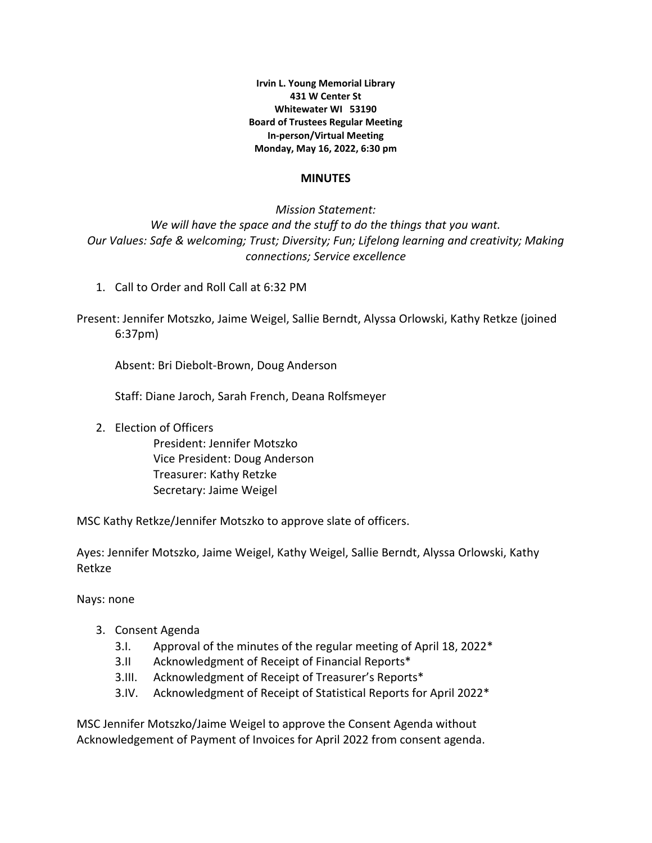**Irvin L. Young Memorial Library 431 W Center St Whitewater WI 53190 Board of Trustees Regular Meeting In-person/Virtual Meeting Monday, May 16, 2022, 6:30 pm**

#### **MINUTES**

*Mission Statement: We will have the space and the stuff to do the things that you want. Our Values: Safe & welcoming; Trust; Diversity; Fun; Lifelong learning and creativity; Making connections; Service excellence*

1. Call to Order and Roll Call at 6:32 PM

Present: Jennifer Motszko, Jaime Weigel, Sallie Berndt, Alyssa Orlowski, Kathy Retkze (joined 6:37pm)

Absent: Bri Diebolt-Brown, Doug Anderson

Staff: Diane Jaroch, Sarah French, Deana Rolfsmeyer

2. Election of Officers

President: Jennifer Motszko Vice President: Doug Anderson Treasurer: Kathy Retzke Secretary: Jaime Weigel

MSC Kathy Retkze/Jennifer Motszko to approve slate of officers.

Ayes: Jennifer Motszko, Jaime Weigel, Kathy Weigel, Sallie Berndt, Alyssa Orlowski, Kathy Retkze

Nays: none

- 3. Consent Agenda
	- 3.I. Approval of the minutes of the regular meeting of April 18, 2022\*
	- 3.II Acknowledgment of Receipt of Financial Reports\*
	- 3.III. Acknowledgment of Receipt of Treasurer's Reports\*
	- 3.IV. Acknowledgment of Receipt of Statistical Reports for April 2022\*

MSC Jennifer Motszko/Jaime Weigel to approve the Consent Agenda without Acknowledgement of Payment of Invoices for April 2022 from consent agenda.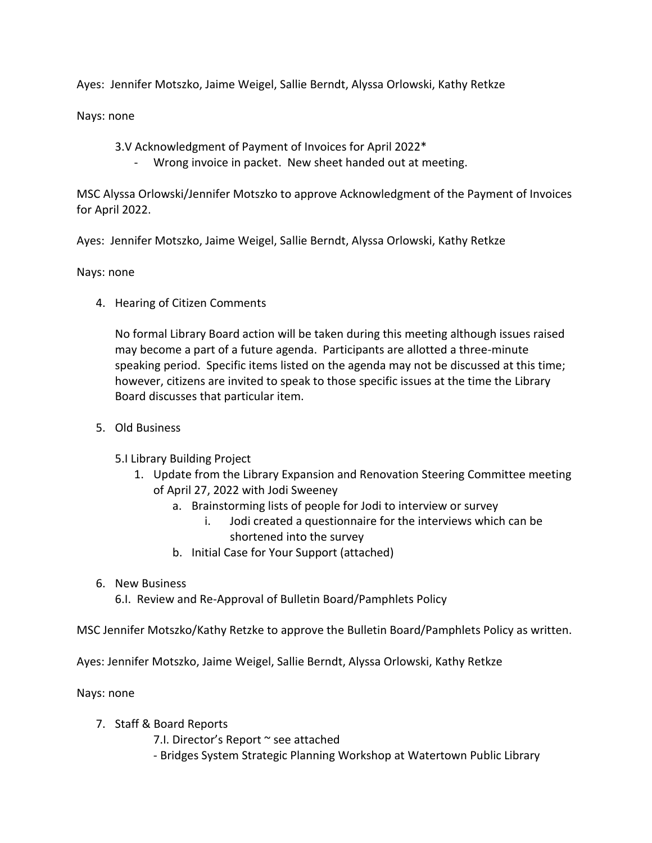Ayes: Jennifer Motszko, Jaime Weigel, Sallie Berndt, Alyssa Orlowski, Kathy Retkze

Nays: none

3.V Acknowledgment of Payment of Invoices for April 2022\*

Wrong invoice in packet. New sheet handed out at meeting.

MSC Alyssa Orlowski/Jennifer Motszko to approve Acknowledgment of the Payment of Invoices for April 2022.

Ayes: Jennifer Motszko, Jaime Weigel, Sallie Berndt, Alyssa Orlowski, Kathy Retkze

Nays: none

4. Hearing of Citizen Comments

No formal Library Board action will be taken during this meeting although issues raised may become a part of a future agenda. Participants are allotted a three-minute speaking period. Specific items listed on the agenda may not be discussed at this time; however, citizens are invited to speak to those specific issues at the time the Library Board discusses that particular item.

5. Old Business

5.I Library Building Project

- 1. Update from the Library Expansion and Renovation Steering Committee meeting of April 27, 2022 with Jodi Sweeney
	- a. Brainstorming lists of people for Jodi to interview or survey
		- i. Jodi created a questionnaire for the interviews which can be shortened into the survey
	- b. Initial Case for Your Support (attached)
- 6. New Business

6.I. Review and Re-Approval of Bulletin Board/Pamphlets Policy

MSC Jennifer Motszko/Kathy Retzke to approve the Bulletin Board/Pamphlets Policy as written.

Ayes: Jennifer Motszko, Jaime Weigel, Sallie Berndt, Alyssa Orlowski, Kathy Retkze

Nays: none

7. Staff & Board Reports

7.I. Director's Report ~ see attached

- Bridges System Strategic Planning Workshop at Watertown Public Library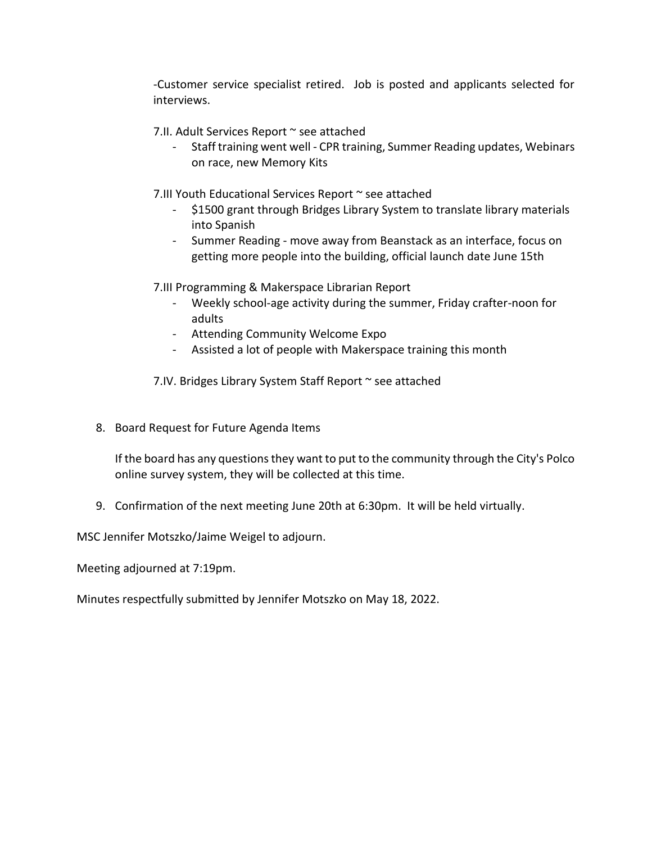-Customer service specialist retired. Job is posted and applicants selected for interviews.

7.II. Adult Services Report ~ see attached

- Staff training went well - CPR training, Summer Reading updates, Webinars on race, new Memory Kits

7.III Youth Educational Services Report ~ see attached

- \$1500 grant through Bridges Library System to translate library materials into Spanish
- Summer Reading move away from Beanstack as an interface, focus on getting more people into the building, official launch date June 15th

7.III Programming & Makerspace Librarian Report

- Weekly school-age activity during the summer, Friday crafter-noon for adults
- Attending Community Welcome Expo
- Assisted a lot of people with Makerspace training this month

7.IV. Bridges Library System Staff Report ~ see attached

8. Board Request for Future Agenda Items

If the board has any questions they want to put to the community through the City's Polco online survey system, they will be collected at this time.

9. Confirmation of the next meeting June 20th at 6:30pm. It will be held virtually.

MSC Jennifer Motszko/Jaime Weigel to adjourn.

Meeting adjourned at 7:19pm.

Minutes respectfully submitted by Jennifer Motszko on May 18, 2022.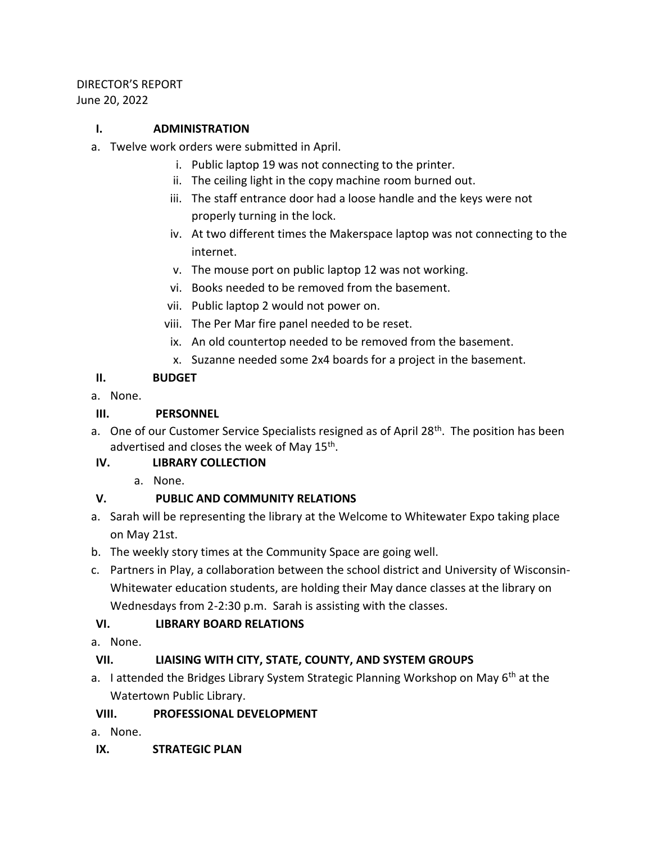### DIRECTOR'S REPORT June 20, 2022

## **I. ADMINISTRATION**

- a. Twelve work orders were submitted in April.
	- i. Public laptop 19 was not connecting to the printer.
	- ii. The ceiling light in the copy machine room burned out.
	- iii. The staff entrance door had a loose handle and the keys were not properly turning in the lock.
	- iv. At two different times the Makerspace laptop was not connecting to the internet.
	- v. The mouse port on public laptop 12 was not working.
	- vi. Books needed to be removed from the basement.
	- vii. Public laptop 2 would not power on.
	- viii. The Per Mar fire panel needed to be reset.
	- ix. An old countertop needed to be removed from the basement.
	- x. Suzanne needed some 2x4 boards for a project in the basement.

## **II. BUDGET**

a. None.

# **III. PERSONNEL**

a. One of our Customer Service Specialists resigned as of April 28<sup>th</sup>. The position has been advertised and closes the week of May 15<sup>th</sup>.

# **IV. LIBRARY COLLECTION**

a. None.

# **V. PUBLIC AND COMMUNITY RELATIONS**

- a. Sarah will be representing the library at the Welcome to Whitewater Expo taking place on May 21st.
- b. The weekly story times at the Community Space are going well.
- c. Partners in Play, a collaboration between the school district and University of Wisconsin-Whitewater education students, are holding their May dance classes at the library on Wednesdays from 2-2:30 p.m. Sarah is assisting with the classes.

# **VI. LIBRARY BOARD RELATIONS**

a. None.

# **VII. LIAISING WITH CITY, STATE, COUNTY, AND SYSTEM GROUPS**

a. I attended the Bridges Library System Strategic Planning Workshop on May 6<sup>th</sup> at the Watertown Public Library.

# **VIII. PROFESSIONAL DEVELOPMENT**

- a. None.
- **IX. STRATEGIC PLAN**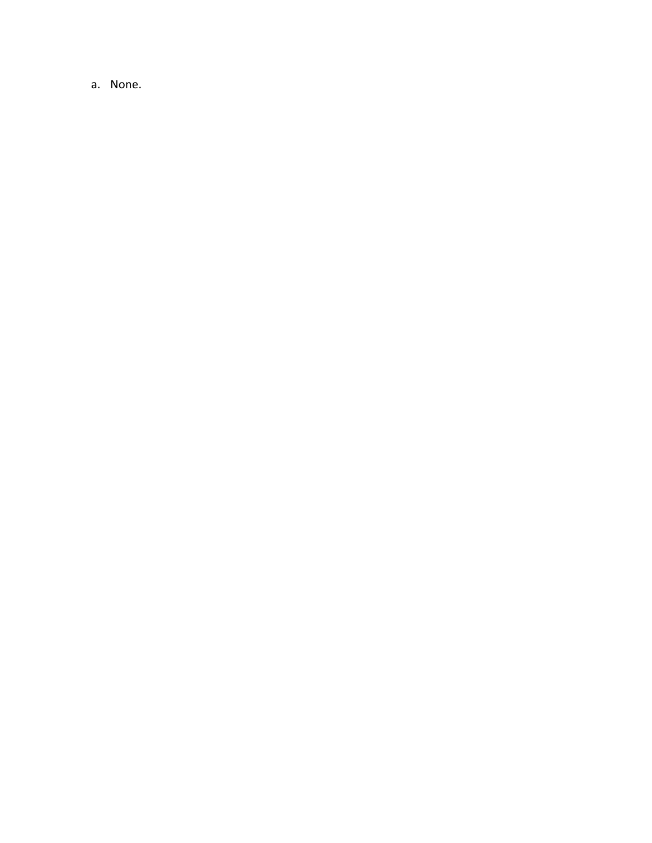a. None.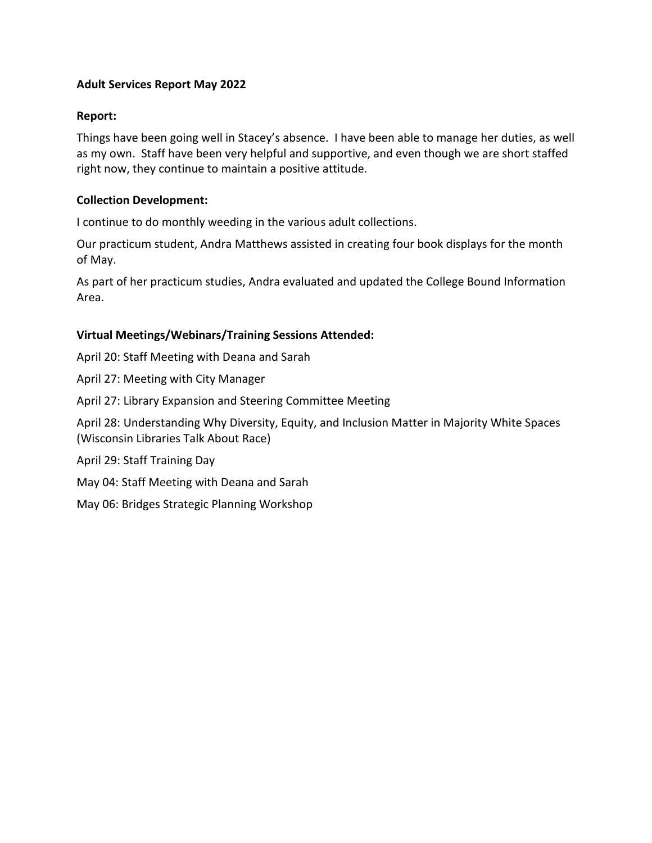## **Adult Services Report May 2022**

#### **Report:**

Things have been going well in Stacey's absence. I have been able to manage her duties, as well as my own. Staff have been very helpful and supportive, and even though we are short staffed right now, they continue to maintain a positive attitude.

### **Collection Development:**

I continue to do monthly weeding in the various adult collections.

Our practicum student, Andra Matthews assisted in creating four book displays for the month of May.

As part of her practicum studies, Andra evaluated and updated the College Bound Information Area.

#### **Virtual Meetings/Webinars/Training Sessions Attended:**

April 20: Staff Meeting with Deana and Sarah

April 27: Meeting with City Manager

April 27: Library Expansion and Steering Committee Meeting

April 28: Understanding Why Diversity, Equity, and Inclusion Matter in Majority White Spaces (Wisconsin Libraries Talk About Race)

April 29: Staff Training Day

May 04: Staff Meeting with Deana and Sarah

May 06: Bridges Strategic Planning Workshop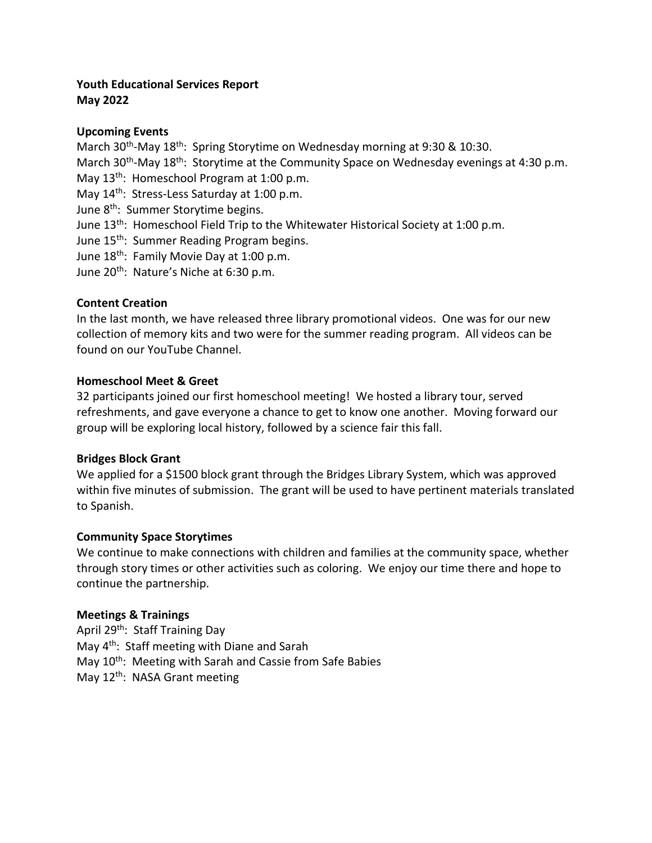### **Youth Educational Services Report May 2022**

## **Upcoming Events**

March 30<sup>th</sup>-May 18<sup>th</sup>: Spring Storytime on Wednesday morning at 9:30 & 10:30. March 30<sup>th</sup>-May 18<sup>th</sup>: Storytime at the Community Space on Wednesday evenings at 4:30 p.m. May 13<sup>th</sup>: Homeschool Program at 1:00 p.m. May 14<sup>th</sup>: Stress-Less Saturday at 1:00 p.m. June 8<sup>th</sup>: Summer Storytime begins.

- June 13<sup>th</sup>: Homeschool Field Trip to the Whitewater Historical Society at 1:00 p.m.
- June 15<sup>th</sup>: Summer Reading Program begins.
- June 18<sup>th</sup>: Family Movie Day at 1:00 p.m.
- June 20<sup>th</sup>: Nature's Niche at 6:30 p.m.

## **Content Creation**

In the last month, we have released three library promotional videos. One was for our new collection of memory kits and two were for the summer reading program. All videos can be found on our YouTube Channel.

### **Homeschool Meet & Greet**

32 participants joined our first homeschool meeting! We hosted a library tour, served refreshments, and gave everyone a chance to get to know one another. Moving forward our group will be exploring local history, followed by a science fair this fall.

### **Bridges Block Grant**

We applied for a \$1500 block grant through the Bridges Library System, which was approved within five minutes of submission. The grant will be used to have pertinent materials translated to Spanish.

### **Community Space Storytimes**

We continue to make connections with children and families at the community space, whether through story times or other activities such as coloring. We enjoy our time there and hope to continue the partnership.

### **Meetings & Trainings**

April 29<sup>th</sup>: Staff Training Day May 4<sup>th</sup>: Staff meeting with Diane and Sarah May 10<sup>th</sup>: Meeting with Sarah and Cassie from Safe Babies May 12<sup>th</sup>: NASA Grant meeting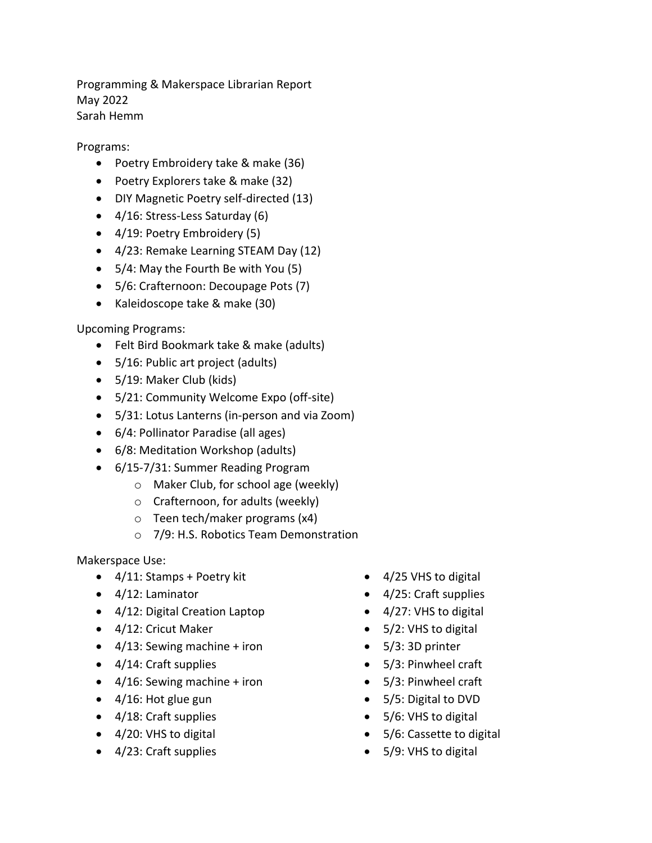Programming & Makerspace Librarian Report May 2022 Sarah Hemm

Programs:

- Poetry Embroidery take & make (36)
- Poetry Explorers take & make (32)
- DIY Magnetic Poetry self-directed (13)
- 4/16: Stress-Less Saturday (6)
- 4/19: Poetry Embroidery (5)
- 4/23: Remake Learning STEAM Day (12)
- 5/4: May the Fourth Be with You (5)
- 5/6: Crafternoon: Decoupage Pots (7)
- Kaleidoscope take & make (30)

Upcoming Programs:

- Felt Bird Bookmark take & make (adults)
- 5/16: Public art project (adults)
- 5/19: Maker Club (kids)
- 5/21: Community Welcome Expo (off-site)
- 5/31: Lotus Lanterns (in-person and via Zoom)
- 6/4: Pollinator Paradise (all ages)
- 6/8: Meditation Workshop (adults)
- 6/15-7/31: Summer Reading Program
	- o Maker Club, for school age (weekly)
	- o Crafternoon, for adults (weekly)
	- o Teen tech/maker programs (x4)
	- o 7/9: H.S. Robotics Team Demonstration

Makerspace Use:

- 4/11: Stamps + Poetry kit
- 4/12: Laminator
- 4/12: Digital Creation Laptop
- 4/12: Cricut Maker
- $\bullet$  4/13: Sewing machine + iron
- 4/14: Craft supplies
- $\bullet$  4/16: Sewing machine + iron
- 4/16: Hot glue gun
- 4/18: Craft supplies
- 4/20: VHS to digital
- 4/23: Craft supplies
- 4/25 VHS to digital
- 4/25: Craft supplies
- 4/27: VHS to digital
- 5/2: VHS to digital
- 5/3:3D printer
- 5/3: Pinwheel craft
- 5/3: Pinwheel craft
- 5/5: Digital to DVD
- 5/6: VHS to digital
- 5/6: Cassette to digital
- 5/9: VHS to digital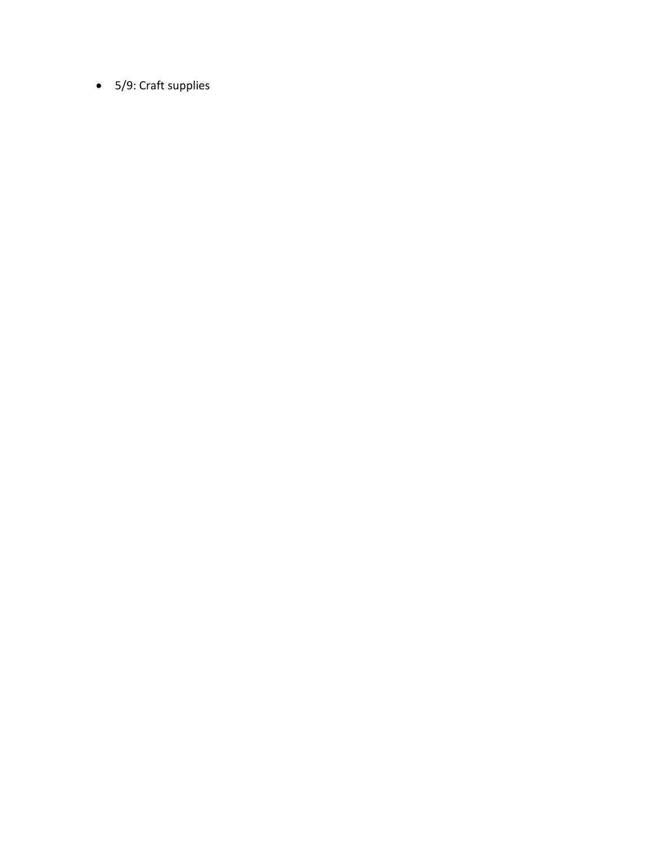• 5/9: Craft supplies